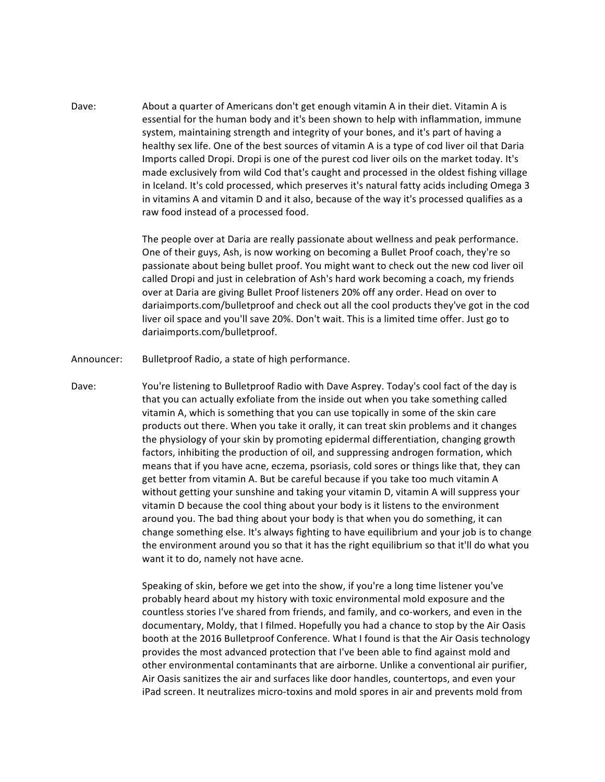Dave: About a quarter of Americans don't get enough vitamin A in their diet. Vitamin A is essential for the human body and it's been shown to help with inflammation, immune system, maintaining strength and integrity of your bones, and it's part of having a healthy sex life. One of the best sources of vitamin A is a type of cod liver oil that Daria Imports called Dropi. Dropi is one of the purest cod liver oils on the market today. It's made exclusively from wild Cod that's caught and processed in the oldest fishing village in Iceland. It's cold processed, which preserves it's natural fatty acids including Omega 3 in vitamins A and vitamin D and it also, because of the way it's processed qualifies as a raw food instead of a processed food.

> The people over at Daria are really passionate about wellness and peak performance. One of their guys, Ash, is now working on becoming a Bullet Proof coach, they're so passionate about being bullet proof. You might want to check out the new cod liver oil called Dropi and just in celebration of Ash's hard work becoming a coach, my friends over at Daria are giving Bullet Proof listeners 20% off any order. Head on over to dariaimports.com/bulletproof and check out all the cool products they've got in the cod liver oil space and you'll save 20%. Don't wait. This is a limited time offer. Just go to dariaimports.com/bulletproof.

- Announcer: Bulletproof Radio, a state of high performance.
- Dave: You're listening to Bulletproof Radio with Dave Asprey. Today's cool fact of the day is that you can actually exfoliate from the inside out when you take something called vitamin A, which is something that you can use topically in some of the skin care products out there. When you take it orally, it can treat skin problems and it changes the physiology of your skin by promoting epidermal differentiation, changing growth factors, inhibiting the production of oil, and suppressing androgen formation, which means that if you have acne, eczema, psoriasis, cold sores or things like that, they can get better from vitamin A. But be careful because if you take too much vitamin A without getting your sunshine and taking your vitamin D, vitamin A will suppress your vitamin D because the cool thing about your body is it listens to the environment around you. The bad thing about your body is that when you do something, it can change something else. It's always fighting to have equilibrium and your job is to change the environment around you so that it has the right equilibrium so that it'll do what you want it to do, namely not have acne.

Speaking of skin, before we get into the show, if you're a long time listener you've probably heard about my history with toxic environmental mold exposure and the countless stories I've shared from friends, and family, and co-workers, and even in the documentary, Moldy, that I filmed. Hopefully you had a chance to stop by the Air Oasis booth at the 2016 Bulletproof Conference. What I found is that the Air Oasis technology provides the most advanced protection that I've been able to find against mold and other environmental contaminants that are airborne. Unlike a conventional air purifier, Air Oasis sanitizes the air and surfaces like door handles, countertops, and even your iPad screen. It neutralizes micro-toxins and mold spores in air and prevents mold from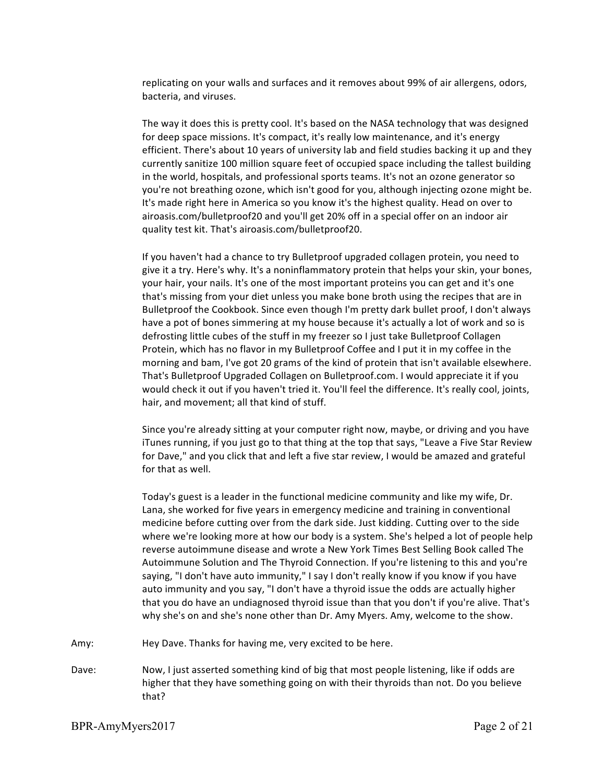replicating on your walls and surfaces and it removes about 99% of air allergens, odors, bacteria, and viruses.

The way it does this is pretty cool. It's based on the NASA technology that was designed for deep space missions. It's compact, it's really low maintenance, and it's energy efficient. There's about 10 years of university lab and field studies backing it up and they currently sanitize 100 million square feet of occupied space including the tallest building in the world, hospitals, and professional sports teams. It's not an ozone generator so you're not breathing ozone, which isn't good for you, although injecting ozone might be. It's made right here in America so you know it's the highest quality. Head on over to airoasis.com/bulletproof20 and you'll get 20% off in a special offer on an indoor air quality test kit. That's airoasis.com/bulletproof20.

If you haven't had a chance to try Bulletproof upgraded collagen protein, you need to give it a try. Here's why. It's a noninflammatory protein that helps your skin, your bones, your hair, your nails. It's one of the most important proteins you can get and it's one that's missing from your diet unless you make bone broth using the recipes that are in Bulletproof the Cookbook. Since even though I'm pretty dark bullet proof, I don't always have a pot of bones simmering at my house because it's actually a lot of work and so is defrosting little cubes of the stuff in my freezer so I just take Bulletproof Collagen Protein, which has no flavor in my Bulletproof Coffee and I put it in my coffee in the morning and bam, I've got 20 grams of the kind of protein that isn't available elsewhere. That's Bulletproof Upgraded Collagen on Bulletproof.com. I would appreciate it if you would check it out if you haven't tried it. You'll feel the difference. It's really cool, joints, hair, and movement; all that kind of stuff.

Since you're already sitting at your computer right now, maybe, or driving and you have iTunes running, if you just go to that thing at the top that says, "Leave a Five Star Review for Dave," and you click that and left a five star review, I would be amazed and grateful for that as well.

Today's guest is a leader in the functional medicine community and like my wife, Dr. Lana, she worked for five years in emergency medicine and training in conventional medicine before cutting over from the dark side. Just kidding. Cutting over to the side where we're looking more at how our body is a system. She's helped a lot of people help reverse autoimmune disease and wrote a New York Times Best Selling Book called The Autoimmune Solution and The Thyroid Connection. If you're listening to this and you're saying, "I don't have auto immunity," I say I don't really know if you know if you have auto immunity and you say, "I don't have a thyroid issue the odds are actually higher that you do have an undiagnosed thyroid issue than that you don't if you're alive. That's why she's on and she's none other than Dr. Amy Myers. Amy, welcome to the show.

- Amy: Hey Dave. Thanks for having me, very excited to be here.
- Dave: Now, I just asserted something kind of big that most people listening, like if odds are higher that they have something going on with their thyroids than not. Do you believe that?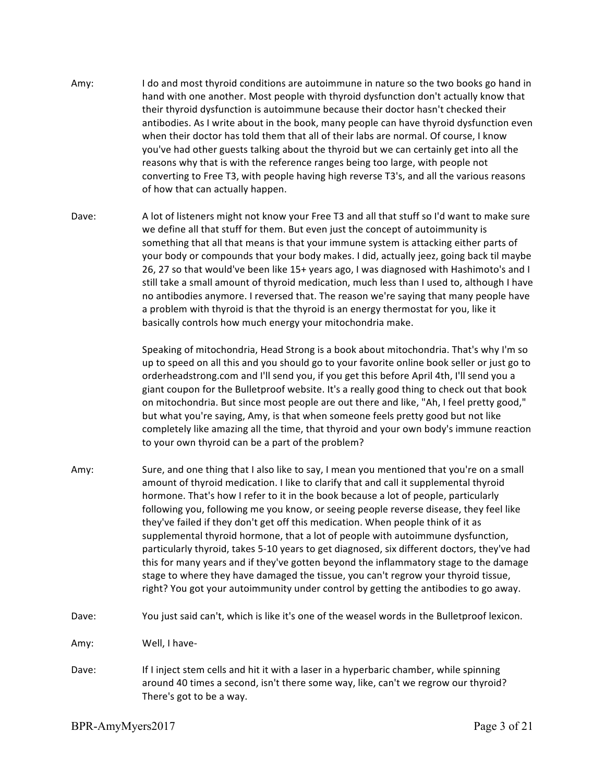- Amy: I do and most thyroid conditions are autoimmune in nature so the two books go hand in hand with one another. Most people with thyroid dysfunction don't actually know that their thyroid dysfunction is autoimmune because their doctor hasn't checked their antibodies. As I write about in the book, many people can have thyroid dysfunction even when their doctor has told them that all of their labs are normal. Of course, I know you've had other guests talking about the thyroid but we can certainly get into all the reasons why that is with the reference ranges being too large, with people not converting to Free T3, with people having high reverse T3's, and all the various reasons of how that can actually happen.
- Dave: A lot of listeners might not know your Free T3 and all that stuff so I'd want to make sure we define all that stuff for them. But even just the concept of autoimmunity is something that all that means is that your immune system is attacking either parts of your body or compounds that your body makes. I did, actually jeez, going back til maybe 26, 27 so that would've been like 15+ years ago, I was diagnosed with Hashimoto's and I still take a small amount of thyroid medication, much less than I used to, although I have no antibodies anymore. I reversed that. The reason we're saying that many people have a problem with thyroid is that the thyroid is an energy thermostat for you, like it basically controls how much energy your mitochondria make.

Speaking of mitochondria, Head Strong is a book about mitochondria. That's why I'm so up to speed on all this and you should go to your favorite online book seller or just go to orderheadstrong.com and I'll send you, if you get this before April 4th, I'll send you a giant coupon for the Bulletproof website. It's a really good thing to check out that book on mitochondria. But since most people are out there and like, "Ah, I feel pretty good," but what you're saying, Amy, is that when someone feels pretty good but not like completely like amazing all the time, that thyroid and your own body's immune reaction to your own thyroid can be a part of the problem?

- Amy: Sure, and one thing that I also like to say, I mean you mentioned that you're on a small amount of thyroid medication. I like to clarify that and call it supplemental thyroid hormone. That's how I refer to it in the book because a lot of people, particularly following you, following me you know, or seeing people reverse disease, they feel like they've failed if they don't get off this medication. When people think of it as supplemental thyroid hormone, that a lot of people with autoimmune dysfunction, particularly thyroid, takes 5-10 years to get diagnosed, six different doctors, they've had this for many years and if they've gotten beyond the inflammatory stage to the damage stage to where they have damaged the tissue, you can't regrow your thyroid tissue, right? You got your autoimmunity under control by getting the antibodies to go away.
- Dave: You just said can't, which is like it's one of the weasel words in the Bulletproof lexicon.

Amy: Well, I have-

Dave: If I inject stem cells and hit it with a laser in a hyperbaric chamber, while spinning around 40 times a second, isn't there some way, like, can't we regrow our thyroid? There's got to be a way.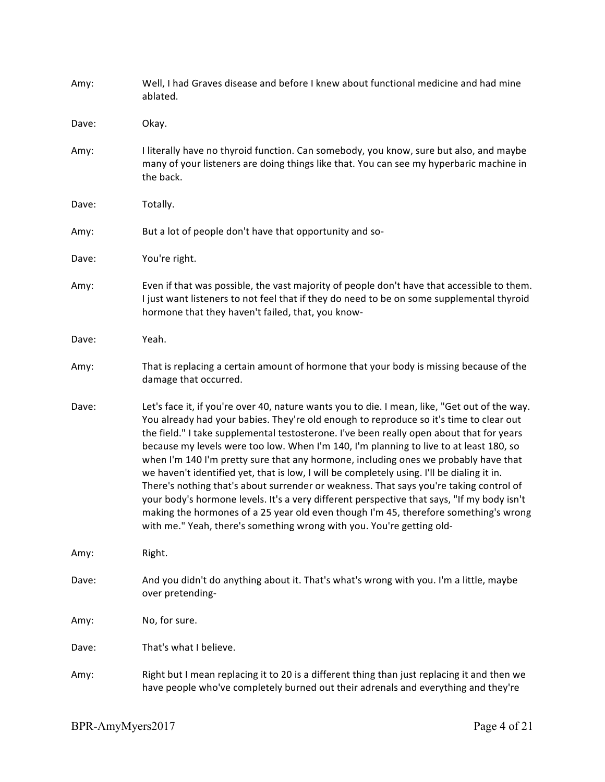| Amy:  | Well, I had Graves disease and before I knew about functional medicine and had mine<br>ablated.                                                                                                                                                                                                                                                                                                                                                                                                                                                                                                                                                                                                                                                                                                                                                                                                                             |
|-------|-----------------------------------------------------------------------------------------------------------------------------------------------------------------------------------------------------------------------------------------------------------------------------------------------------------------------------------------------------------------------------------------------------------------------------------------------------------------------------------------------------------------------------------------------------------------------------------------------------------------------------------------------------------------------------------------------------------------------------------------------------------------------------------------------------------------------------------------------------------------------------------------------------------------------------|
| Dave: | Okay.                                                                                                                                                                                                                                                                                                                                                                                                                                                                                                                                                                                                                                                                                                                                                                                                                                                                                                                       |
| Amy:  | I literally have no thyroid function. Can somebody, you know, sure but also, and maybe<br>many of your listeners are doing things like that. You can see my hyperbaric machine in<br>the back.                                                                                                                                                                                                                                                                                                                                                                                                                                                                                                                                                                                                                                                                                                                              |
| Dave: | Totally.                                                                                                                                                                                                                                                                                                                                                                                                                                                                                                                                                                                                                                                                                                                                                                                                                                                                                                                    |
| Amy:  | But a lot of people don't have that opportunity and so-                                                                                                                                                                                                                                                                                                                                                                                                                                                                                                                                                                                                                                                                                                                                                                                                                                                                     |
| Dave: | You're right.                                                                                                                                                                                                                                                                                                                                                                                                                                                                                                                                                                                                                                                                                                                                                                                                                                                                                                               |
| Amy:  | Even if that was possible, the vast majority of people don't have that accessible to them.<br>I just want listeners to not feel that if they do need to be on some supplemental thyroid<br>hormone that they haven't failed, that, you know-                                                                                                                                                                                                                                                                                                                                                                                                                                                                                                                                                                                                                                                                                |
| Dave: | Yeah.                                                                                                                                                                                                                                                                                                                                                                                                                                                                                                                                                                                                                                                                                                                                                                                                                                                                                                                       |
| Amy:  | That is replacing a certain amount of hormone that your body is missing because of the<br>damage that occurred.                                                                                                                                                                                                                                                                                                                                                                                                                                                                                                                                                                                                                                                                                                                                                                                                             |
| Dave: | Let's face it, if you're over 40, nature wants you to die. I mean, like, "Get out of the way.<br>You already had your babies. They're old enough to reproduce so it's time to clear out<br>the field." I take supplemental testosterone. I've been really open about that for years<br>because my levels were too low. When I'm 140, I'm planning to live to at least 180, so<br>when I'm 140 I'm pretty sure that any hormone, including ones we probably have that<br>we haven't identified yet, that is low, I will be completely using. I'll be dialing it in.<br>There's nothing that's about surrender or weakness. That says you're taking control of<br>your body's hormone levels. It's a very different perspective that says, "If my body isn't<br>making the hormones of a 25 year old even though I'm 45, therefore something's wrong<br>with me." Yeah, there's something wrong with you. You're getting old- |
| Amy:  | Right.                                                                                                                                                                                                                                                                                                                                                                                                                                                                                                                                                                                                                                                                                                                                                                                                                                                                                                                      |
| Dave: | And you didn't do anything about it. That's what's wrong with you. I'm a little, maybe<br>over pretending-                                                                                                                                                                                                                                                                                                                                                                                                                                                                                                                                                                                                                                                                                                                                                                                                                  |
| Amy:  | No, for sure.                                                                                                                                                                                                                                                                                                                                                                                                                                                                                                                                                                                                                                                                                                                                                                                                                                                                                                               |
| Dave: | That's what I believe.                                                                                                                                                                                                                                                                                                                                                                                                                                                                                                                                                                                                                                                                                                                                                                                                                                                                                                      |
| Amy:  | Right but I mean replacing it to 20 is a different thing than just replacing it and then we<br>have people who've completely burned out their adrenals and everything and they're                                                                                                                                                                                                                                                                                                                                                                                                                                                                                                                                                                                                                                                                                                                                           |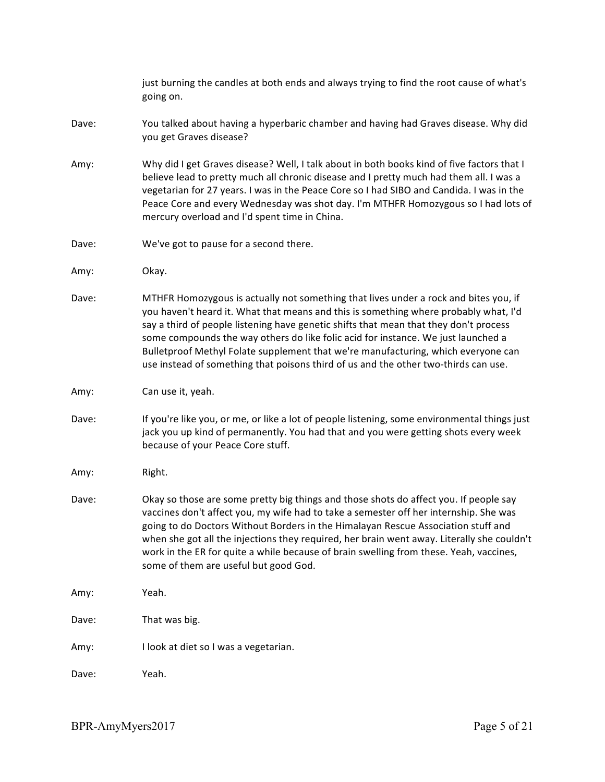just burning the candles at both ends and always trying to find the root cause of what's going on. Dave: You talked about having a hyperbaric chamber and having had Graves disease. Why did you get Graves disease? Amy: Why did I get Graves disease? Well, I talk about in both books kind of five factors that I believe lead to pretty much all chronic disease and I pretty much had them all. I was a vegetarian for 27 years. I was in the Peace Core so I had SIBO and Candida. I was in the Peace Core and every Wednesday was shot day. I'm MTHFR Homozygous so I had lots of mercury overload and I'd spent time in China. Dave: We've got to pause for a second there. Amy: Okay. Dave: MTHFR Homozygous is actually not something that lives under a rock and bites you, if you haven't heard it. What that means and this is something where probably what, I'd say a third of people listening have genetic shifts that mean that they don't process some compounds the way others do like folic acid for instance. We just launched a Bulletproof Methyl Folate supplement that we're manufacturing, which everyone can use instead of something that poisons third of us and the other two-thirds can use. Amy: Can use it, yeah. Dave: If you're like you, or me, or like a lot of people listening, some environmental things just jack you up kind of permanently. You had that and you were getting shots every week because of your Peace Core stuff. Amy: Right. Dave: Okay so those are some pretty big things and those shots do affect you. If people say vaccines don't affect you, my wife had to take a semester off her internship. She was going to do Doctors Without Borders in the Himalayan Rescue Association stuff and when she got all the injections they required, her brain went away. Literally she couldn't work in the ER for quite a while because of brain swelling from these. Yeah, vaccines, some of them are useful but good God. Amy: Yeah. Dave: That was big. Amy: I look at diet so I was a vegetarian. Dave: Yeah.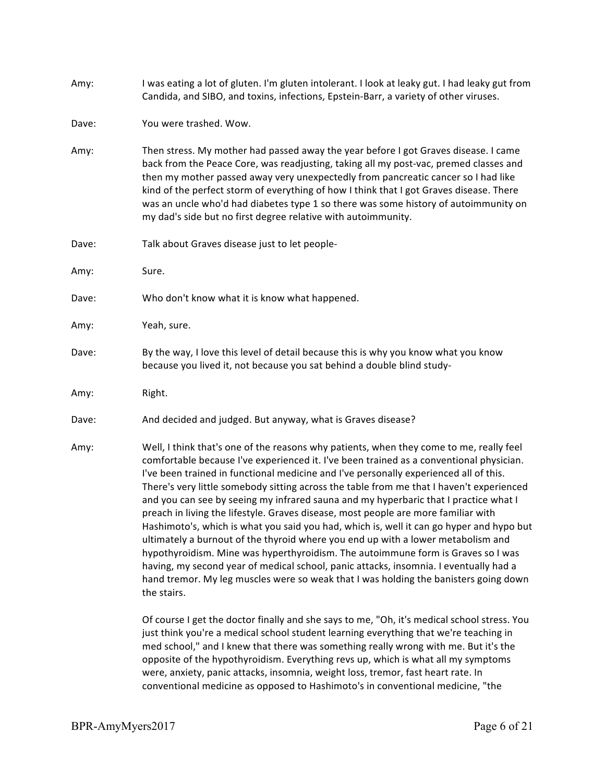- Amy: I was eating a lot of gluten. I'm gluten intolerant. I look at leaky gut. I had leaky gut from Candida, and SIBO, and toxins, infections, Epstein-Barr, a variety of other viruses.
- Dave: You were trashed. Wow.
- Amy: Then stress. My mother had passed away the year before I got Graves disease. I came back from the Peace Core, was readjusting, taking all my post-vac, premed classes and then my mother passed away very unexpectedly from pancreatic cancer so I had like kind of the perfect storm of everything of how I think that I got Graves disease. There was an uncle who'd had diabetes type 1 so there was some history of autoimmunity on my dad's side but no first degree relative with autoimmunity.
- Dave: Talk about Graves disease just to let people-
- Amy: Sure.
- Dave: Who don't know what it is know what happened.
- Amy: Yeah, sure.
- Dave: By the way, I love this level of detail because this is why you know what you know because you lived it, not because you sat behind a double blind study-
- Amy: Right.
- Dave: And decided and judged. But anyway, what is Graves disease?
- Amy: Well, I think that's one of the reasons why patients, when they come to me, really feel comfortable because I've experienced it. I've been trained as a conventional physician. I've been trained in functional medicine and I've personally experienced all of this. There's very little somebody sitting across the table from me that I haven't experienced and you can see by seeing my infrared sauna and my hyperbaric that I practice what I preach in living the lifestyle. Graves disease, most people are more familiar with Hashimoto's, which is what you said you had, which is, well it can go hyper and hypo but ultimately a burnout of the thyroid where you end up with a lower metabolism and hypothyroidism. Mine was hyperthyroidism. The autoimmune form is Graves so I was having, my second year of medical school, panic attacks, insomnia. I eventually had a hand tremor. My leg muscles were so weak that I was holding the banisters going down the stairs.

Of course I get the doctor finally and she says to me, "Oh, it's medical school stress. You just think you're a medical school student learning everything that we're teaching in med school," and I knew that there was something really wrong with me. But it's the opposite of the hypothyroidism. Everything revs up, which is what all my symptoms were, anxiety, panic attacks, insomnia, weight loss, tremor, fast heart rate. In conventional medicine as opposed to Hashimoto's in conventional medicine, "the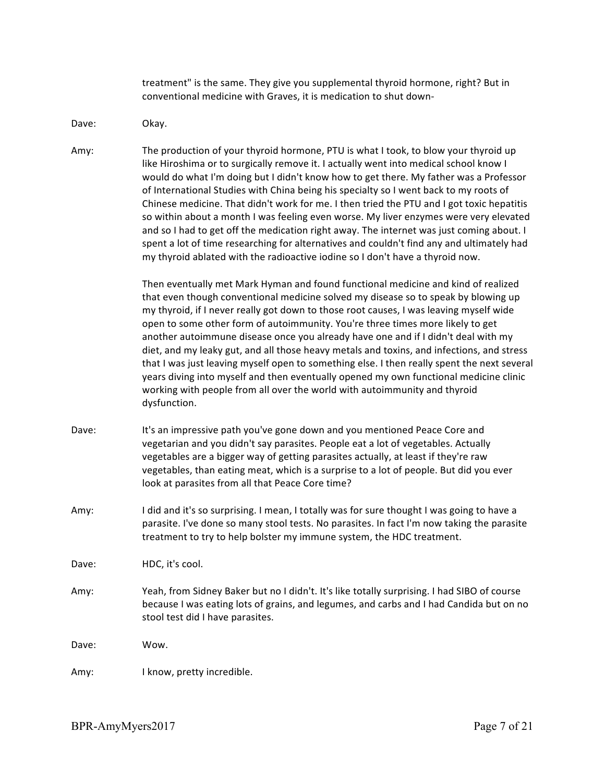treatment" is the same. They give you supplemental thyroid hormone, right? But in conventional medicine with Graves, it is medication to shut down-

## Dave: Okay.

Amy: The production of your thyroid hormone, PTU is what I took, to blow your thyroid up like Hiroshima or to surgically remove it. I actually went into medical school know I would do what I'm doing but I didn't know how to get there. My father was a Professor of International Studies with China being his specialty so I went back to my roots of Chinese medicine. That didn't work for me. I then tried the PTU and I got toxic hepatitis so within about a month I was feeling even worse. My liver enzymes were very elevated and so I had to get off the medication right away. The internet was just coming about. I spent a lot of time researching for alternatives and couldn't find any and ultimately had my thyroid ablated with the radioactive iodine so I don't have a thyroid now.

> Then eventually met Mark Hyman and found functional medicine and kind of realized that even though conventional medicine solved my disease so to speak by blowing up my thyroid, if I never really got down to those root causes, I was leaving myself wide open to some other form of autoimmunity. You're three times more likely to get another autoimmune disease once you already have one and if I didn't deal with my diet, and my leaky gut, and all those heavy metals and toxins, and infections, and stress that I was just leaving myself open to something else. I then really spent the next several years diving into myself and then eventually opened my own functional medicine clinic working with people from all over the world with autoimmunity and thyroid dysfunction.

- Dave: It's an impressive path you've gone down and you mentioned Peace Core and vegetarian and you didn't say parasites. People eat a lot of vegetables. Actually vegetables are a bigger way of getting parasites actually, at least if they're raw vegetables, than eating meat, which is a surprise to a lot of people. But did you ever look at parasites from all that Peace Core time?
- Amy: I did and it's so surprising. I mean, I totally was for sure thought I was going to have a parasite. I've done so many stool tests. No parasites. In fact I'm now taking the parasite treatment to try to help bolster my immune system, the HDC treatment.

Dave: HDC, it's cool.

Amy: Yeah, from Sidney Baker but no I didn't. It's like totally surprising. I had SIBO of course because I was eating lots of grains, and legumes, and carbs and I had Candida but on no stool test did I have parasites.

Dave: Wow.

Amy: I know, pretty incredible.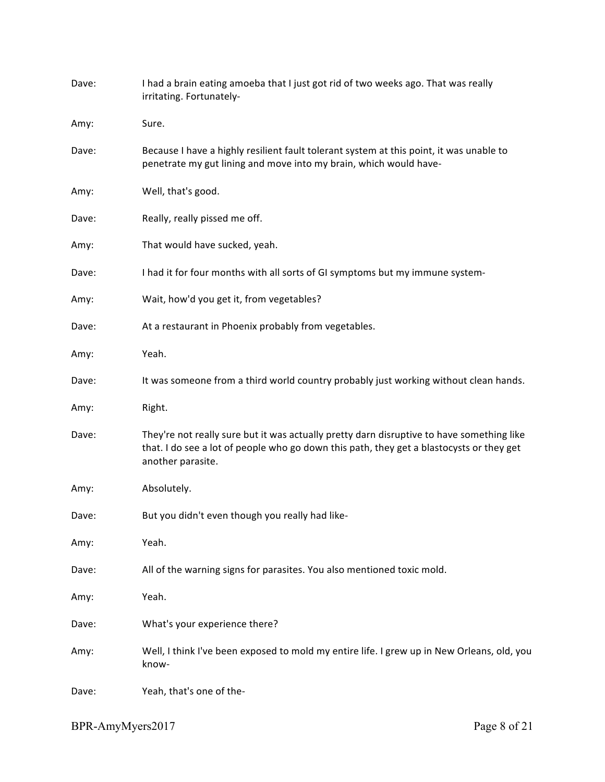| Dave: | I had a brain eating amoeba that I just got rid of two weeks ago. That was really<br>irritating. Fortunately-                                                                                              |
|-------|------------------------------------------------------------------------------------------------------------------------------------------------------------------------------------------------------------|
| Amy:  | Sure.                                                                                                                                                                                                      |
| Dave: | Because I have a highly resilient fault tolerant system at this point, it was unable to<br>penetrate my gut lining and move into my brain, which would have-                                               |
| Amy:  | Well, that's good.                                                                                                                                                                                         |
| Dave: | Really, really pissed me off.                                                                                                                                                                              |
| Amy:  | That would have sucked, yeah.                                                                                                                                                                              |
| Dave: | I had it for four months with all sorts of GI symptoms but my immune system-                                                                                                                               |
| Amy:  | Wait, how'd you get it, from vegetables?                                                                                                                                                                   |
| Dave: | At a restaurant in Phoenix probably from vegetables.                                                                                                                                                       |
| Amy:  | Yeah.                                                                                                                                                                                                      |
| Dave: | It was someone from a third world country probably just working without clean hands.                                                                                                                       |
| Amy:  | Right.                                                                                                                                                                                                     |
| Dave: | They're not really sure but it was actually pretty darn disruptive to have something like<br>that. I do see a lot of people who go down this path, they get a blastocysts or they get<br>another parasite. |
| Amy:  | Absolutely.                                                                                                                                                                                                |
| Dave: | But you didn't even though you really had like-                                                                                                                                                            |
| Amy:  | Yeah.                                                                                                                                                                                                      |
| Dave: | All of the warning signs for parasites. You also mentioned toxic mold.                                                                                                                                     |
| Amy:  | Yeah.                                                                                                                                                                                                      |
| Dave: | What's your experience there?                                                                                                                                                                              |
| Amy:  | Well, I think I've been exposed to mold my entire life. I grew up in New Orleans, old, you<br>know-                                                                                                        |
| Dave: | Yeah, that's one of the-                                                                                                                                                                                   |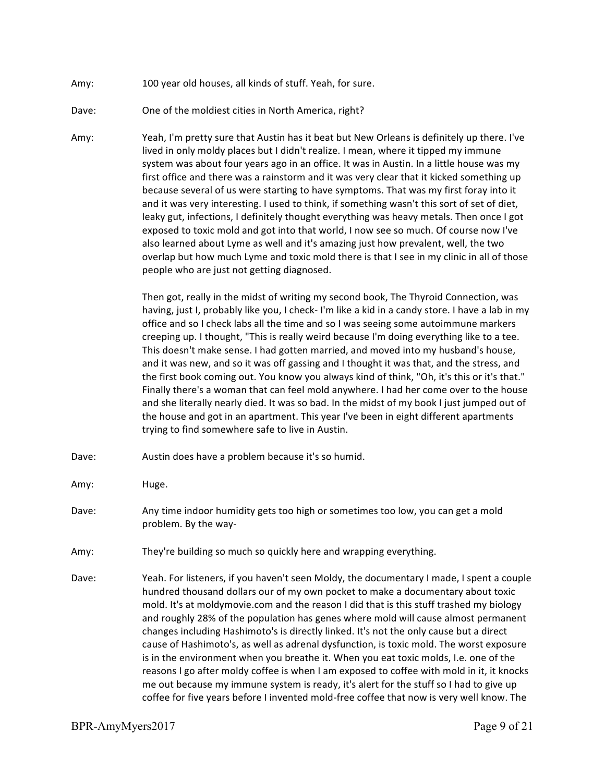- Amy: 100 year old houses, all kinds of stuff. Yeah, for sure.
- Dave: One of the moldiest cities in North America, right?
- Amy: Yeah, I'm pretty sure that Austin has it beat but New Orleans is definitely up there. I've lived in only moldy places but I didn't realize. I mean, where it tipped my immune system was about four years ago in an office. It was in Austin. In a little house was my first office and there was a rainstorm and it was very clear that it kicked something up because several of us were starting to have symptoms. That was my first foray into it and it was very interesting. I used to think, if something wasn't this sort of set of diet, leaky gut, infections, I definitely thought everything was heavy metals. Then once I got exposed to toxic mold and got into that world, I now see so much. Of course now I've also learned about Lyme as well and it's amazing just how prevalent, well, the two overlap but how much Lyme and toxic mold there is that I see in my clinic in all of those people who are just not getting diagnosed.

Then got, really in the midst of writing my second book, The Thyroid Connection, was having, just I, probably like you, I check- I'm like a kid in a candy store. I have a lab in my office and so I check labs all the time and so I was seeing some autoimmune markers creeping up. I thought, "This is really weird because I'm doing everything like to a tee. This doesn't make sense. I had gotten married, and moved into my husband's house, and it was new, and so it was off gassing and I thought it was that, and the stress, and the first book coming out. You know you always kind of think, "Oh, it's this or it's that." Finally there's a woman that can feel mold anywhere. I had her come over to the house and she literally nearly died. It was so bad. In the midst of my book I just jumped out of the house and got in an apartment. This year I've been in eight different apartments trying to find somewhere safe to live in Austin.

- Dave: Austin does have a problem because it's so humid.
- Amy: Huge.
- Dave: Any time indoor humidity gets too high or sometimes too low, you can get a mold problem. By the way-
- Amy: They're building so much so quickly here and wrapping everything.
- Dave: Yeah. For listeners, if you haven't seen Moldy, the documentary I made, I spent a couple hundred thousand dollars our of my own pocket to make a documentary about toxic mold. It's at moldymovie.com and the reason I did that is this stuff trashed my biology and roughly 28% of the population has genes where mold will cause almost permanent changes including Hashimoto's is directly linked. It's not the only cause but a direct cause of Hashimoto's, as well as adrenal dysfunction, is toxic mold. The worst exposure is in the environment when you breathe it. When you eat toxic molds, I.e. one of the reasons I go after moldy coffee is when I am exposed to coffee with mold in it, it knocks me out because my immune system is ready, it's alert for the stuff so I had to give up coffee for five years before I invented mold-free coffee that now is very well know. The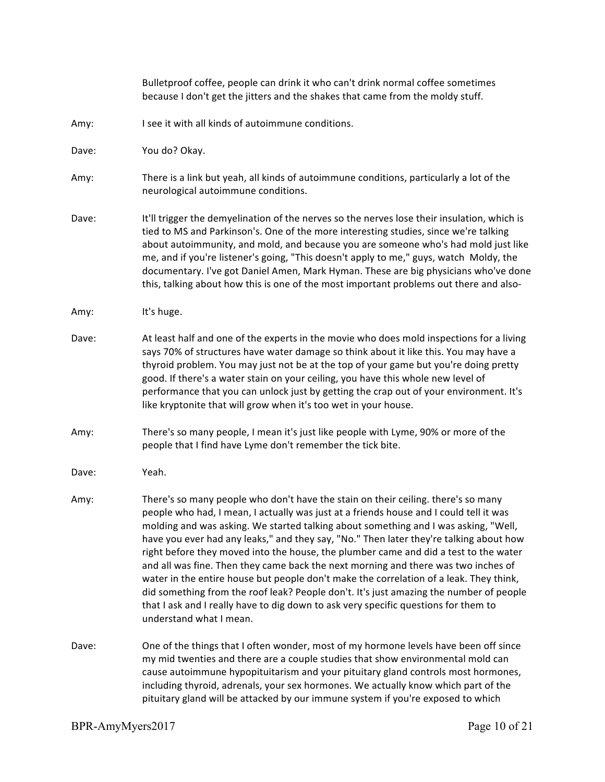|       | Bulletproof coffee, people can drink it who can't drink normal coffee sometimes<br>because I don't get the jitters and the shakes that came from the moldy stuff.                                                                                                                                                                                                                                                                                                                                                                                                                                                                                                                                                                                                                                                                                |
|-------|--------------------------------------------------------------------------------------------------------------------------------------------------------------------------------------------------------------------------------------------------------------------------------------------------------------------------------------------------------------------------------------------------------------------------------------------------------------------------------------------------------------------------------------------------------------------------------------------------------------------------------------------------------------------------------------------------------------------------------------------------------------------------------------------------------------------------------------------------|
| Amy:  | I see it with all kinds of autoimmune conditions.                                                                                                                                                                                                                                                                                                                                                                                                                                                                                                                                                                                                                                                                                                                                                                                                |
| Dave: | You do? Okay.                                                                                                                                                                                                                                                                                                                                                                                                                                                                                                                                                                                                                                                                                                                                                                                                                                    |
| Amy:  | There is a link but yeah, all kinds of autoimmune conditions, particularly a lot of the<br>neurological autoimmune conditions.                                                                                                                                                                                                                                                                                                                                                                                                                                                                                                                                                                                                                                                                                                                   |
| Dave: | It'll trigger the demyelination of the nerves so the nerves lose their insulation, which is<br>tied to MS and Parkinson's. One of the more interesting studies, since we're talking<br>about autoimmunity, and mold, and because you are someone who's had mold just like<br>me, and if you're listener's going, "This doesn't apply to me," guys, watch Moldy, the<br>documentary. I've got Daniel Amen, Mark Hyman. These are big physicians who've done<br>this, talking about how this is one of the most important problems out there and also-                                                                                                                                                                                                                                                                                             |
| Amy:  | It's huge.                                                                                                                                                                                                                                                                                                                                                                                                                                                                                                                                                                                                                                                                                                                                                                                                                                       |
| Dave: | At least half and one of the experts in the movie who does mold inspections for a living<br>says 70% of structures have water damage so think about it like this. You may have a<br>thyroid problem. You may just not be at the top of your game but you're doing pretty<br>good. If there's a water stain on your ceiling, you have this whole new level of<br>performance that you can unlock just by getting the crap out of your environment. It's<br>like kryptonite that will grow when it's too wet in your house.                                                                                                                                                                                                                                                                                                                        |
| Amy:  | There's so many people, I mean it's just like people with Lyme, 90% or more of the<br>people that I find have Lyme don't remember the tick bite.                                                                                                                                                                                                                                                                                                                                                                                                                                                                                                                                                                                                                                                                                                 |
| Dave: | Yeah.                                                                                                                                                                                                                                                                                                                                                                                                                                                                                                                                                                                                                                                                                                                                                                                                                                            |
| Amy:  | There's so many people who don't have the stain on their ceiling. there's so many<br>people who had, I mean, I actually was just at a friends house and I could tell it was<br>molding and was asking. We started talking about something and I was asking, "Well,<br>have you ever had any leaks," and they say, "No." Then later they're talking about how<br>right before they moved into the house, the plumber came and did a test to the water<br>and all was fine. Then they came back the next morning and there was two inches of<br>water in the entire house but people don't make the correlation of a leak. They think,<br>did something from the roof leak? People don't. It's just amazing the number of people<br>that I ask and I really have to dig down to ask very specific questions for them to<br>understand what I mean. |
| Dave: | One of the things that I often wonder, most of my hormone levels have been off since<br>my mid twenties and there are a couple studies that show environmental mold can<br>cause autoimmune hypopituitarism and your pituitary gland controls most hormones,<br>including thyroid, adrenals, your sex hormones. We actually know which part of the<br>pituitary gland will be attacked by our immune system if you're exposed to which                                                                                                                                                                                                                                                                                                                                                                                                           |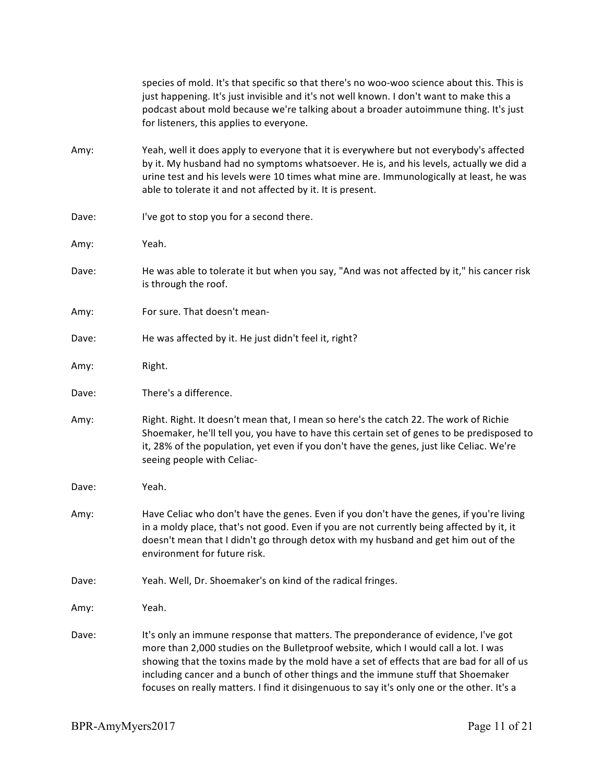|       | species of mold. It's that specific so that there's no woo-woo science about this. This is<br>just happening. It's just invisible and it's not well known. I don't want to make this a<br>podcast about mold because we're talking about a broader autoimmune thing. It's just<br>for listeners, this applies to everyone.                                                                                                                                |
|-------|-----------------------------------------------------------------------------------------------------------------------------------------------------------------------------------------------------------------------------------------------------------------------------------------------------------------------------------------------------------------------------------------------------------------------------------------------------------|
| Amy:  | Yeah, well it does apply to everyone that it is everywhere but not everybody's affected<br>by it. My husband had no symptoms whatsoever. He is, and his levels, actually we did a<br>urine test and his levels were 10 times what mine are. Immunologically at least, he was<br>able to tolerate it and not affected by it. It is present.                                                                                                                |
| Dave: | I've got to stop you for a second there.                                                                                                                                                                                                                                                                                                                                                                                                                  |
| Amy:  | Yeah.                                                                                                                                                                                                                                                                                                                                                                                                                                                     |
| Dave: | He was able to tolerate it but when you say, "And was not affected by it," his cancer risk<br>is through the roof.                                                                                                                                                                                                                                                                                                                                        |
| Amy:  | For sure. That doesn't mean-                                                                                                                                                                                                                                                                                                                                                                                                                              |
| Dave: | He was affected by it. He just didn't feel it, right?                                                                                                                                                                                                                                                                                                                                                                                                     |
| Amy:  | Right.                                                                                                                                                                                                                                                                                                                                                                                                                                                    |
| Dave: | There's a difference.                                                                                                                                                                                                                                                                                                                                                                                                                                     |
| Amy:  | Right. Right. It doesn't mean that, I mean so here's the catch 22. The work of Richie<br>Shoemaker, he'll tell you, you have to have this certain set of genes to be predisposed to<br>it, 28% of the population, yet even if you don't have the genes, just like Celiac. We're<br>seeing people with Celiac-                                                                                                                                             |
| Dave: | Yeah.                                                                                                                                                                                                                                                                                                                                                                                                                                                     |
| Amy:  | Have Celiac who don't have the genes. Even if you don't have the genes, if you're living<br>in a moldy place, that's not good. Even if you are not currently being affected by it, it<br>doesn't mean that I didn't go through detox with my husband and get him out of the<br>environment for future risk.                                                                                                                                               |
| Dave: | Yeah. Well, Dr. Shoemaker's on kind of the radical fringes.                                                                                                                                                                                                                                                                                                                                                                                               |
| Amy:  | Yeah.                                                                                                                                                                                                                                                                                                                                                                                                                                                     |
| Dave: | It's only an immune response that matters. The preponderance of evidence, I've got<br>more than 2,000 studies on the Bulletproof website, which I would call a lot. I was<br>showing that the toxins made by the mold have a set of effects that are bad for all of us<br>including cancer and a bunch of other things and the immune stuff that Shoemaker<br>focuses on really matters. I find it disingenuous to say it's only one or the other. It's a |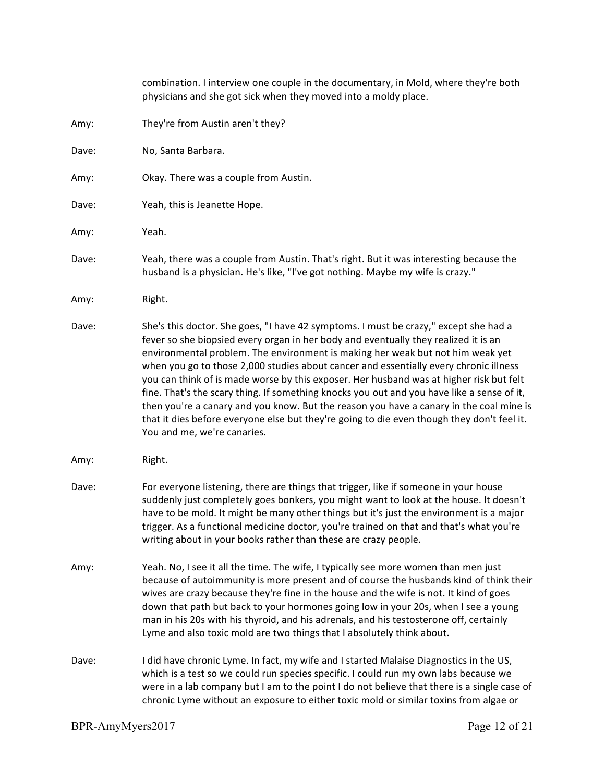|       | combination. I interview one couple in the documentary, in Mold, where they're both<br>physicians and she got sick when they moved into a moldy place.                                                                                                                                                                                                                                                                                                                                                                                                                                                                                                                                                                                                                  |
|-------|-------------------------------------------------------------------------------------------------------------------------------------------------------------------------------------------------------------------------------------------------------------------------------------------------------------------------------------------------------------------------------------------------------------------------------------------------------------------------------------------------------------------------------------------------------------------------------------------------------------------------------------------------------------------------------------------------------------------------------------------------------------------------|
| Amy:  | They're from Austin aren't they?                                                                                                                                                                                                                                                                                                                                                                                                                                                                                                                                                                                                                                                                                                                                        |
| Dave: | No, Santa Barbara.                                                                                                                                                                                                                                                                                                                                                                                                                                                                                                                                                                                                                                                                                                                                                      |
| Amy:  | Okay. There was a couple from Austin.                                                                                                                                                                                                                                                                                                                                                                                                                                                                                                                                                                                                                                                                                                                                   |
| Dave: | Yeah, this is Jeanette Hope.                                                                                                                                                                                                                                                                                                                                                                                                                                                                                                                                                                                                                                                                                                                                            |
| Amy:  | Yeah.                                                                                                                                                                                                                                                                                                                                                                                                                                                                                                                                                                                                                                                                                                                                                                   |
| Dave: | Yeah, there was a couple from Austin. That's right. But it was interesting because the<br>husband is a physician. He's like, "I've got nothing. Maybe my wife is crazy."                                                                                                                                                                                                                                                                                                                                                                                                                                                                                                                                                                                                |
| Amy:  | Right.                                                                                                                                                                                                                                                                                                                                                                                                                                                                                                                                                                                                                                                                                                                                                                  |
| Dave: | She's this doctor. She goes, "I have 42 symptoms. I must be crazy," except she had a<br>fever so she biopsied every organ in her body and eventually they realized it is an<br>environmental problem. The environment is making her weak but not him weak yet<br>when you go to those 2,000 studies about cancer and essentially every chronic illness<br>you can think of is made worse by this exposer. Her husband was at higher risk but felt<br>fine. That's the scary thing. If something knocks you out and you have like a sense of it,<br>then you're a canary and you know. But the reason you have a canary in the coal mine is<br>that it dies before everyone else but they're going to die even though they don't feel it.<br>You and me, we're canaries. |
| Amy:  | Right.                                                                                                                                                                                                                                                                                                                                                                                                                                                                                                                                                                                                                                                                                                                                                                  |
| Dave: | For everyone listening, there are things that trigger, like if someone in your house<br>suddenly just completely goes bonkers, you might want to look at the house. It doesn't<br>have to be mold. It might be many other things but it's just the environment is a major<br>trigger. As a functional medicine doctor, you're trained on that and that's what you're<br>writing about in your books rather than these are crazy people.                                                                                                                                                                                                                                                                                                                                 |
| Amy:  | Yeah. No, I see it all the time. The wife, I typically see more women than men just<br>because of autoimmunity is more present and of course the husbands kind of think their<br>wives are crazy because they're fine in the house and the wife is not. It kind of goes<br>down that path but back to your hormones going low in your 20s, when I see a young<br>man in his 20s with his thyroid, and his adrenals, and his testosterone off, certainly<br>Lyme and also toxic mold are two things that I absolutely think about.                                                                                                                                                                                                                                       |
| Dave: | I did have chronic Lyme. In fact, my wife and I started Malaise Diagnostics in the US,<br>which is a test so we could run species specific. I could run my own labs because we<br>were in a lab company but I am to the point I do not believe that there is a single case of<br>chronic Lyme without an exposure to either toxic mold or similar toxins from algae or                                                                                                                                                                                                                                                                                                                                                                                                  |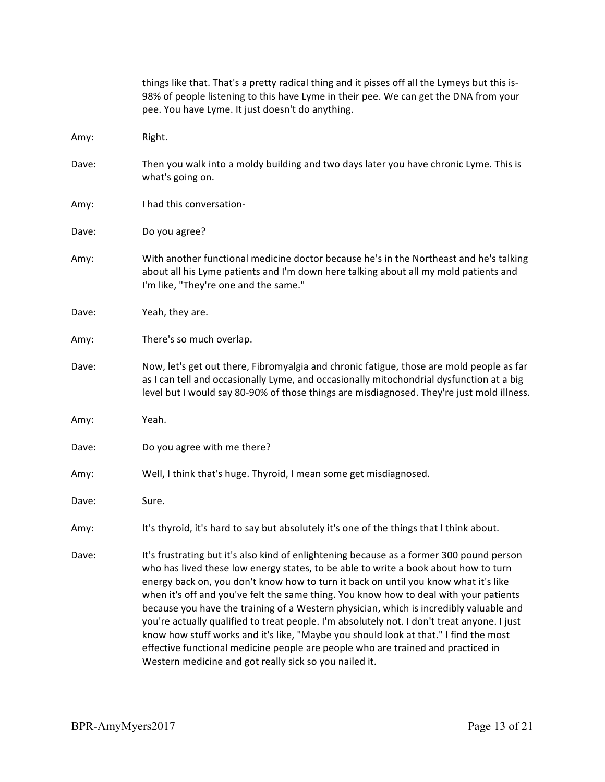|       | things like that. That's a pretty radical thing and it pisses off all the Lymeys but this is-<br>98% of people listening to this have Lyme in their pee. We can get the DNA from your<br>pee. You have Lyme. It just doesn't do anything.                                                                                                                                                                                                                                                                                                                                                                                                                                                                                                                                                      |
|-------|------------------------------------------------------------------------------------------------------------------------------------------------------------------------------------------------------------------------------------------------------------------------------------------------------------------------------------------------------------------------------------------------------------------------------------------------------------------------------------------------------------------------------------------------------------------------------------------------------------------------------------------------------------------------------------------------------------------------------------------------------------------------------------------------|
| Amy:  | Right.                                                                                                                                                                                                                                                                                                                                                                                                                                                                                                                                                                                                                                                                                                                                                                                         |
| Dave: | Then you walk into a moldy building and two days later you have chronic Lyme. This is<br>what's going on.                                                                                                                                                                                                                                                                                                                                                                                                                                                                                                                                                                                                                                                                                      |
| Amy:  | I had this conversation-                                                                                                                                                                                                                                                                                                                                                                                                                                                                                                                                                                                                                                                                                                                                                                       |
| Dave: | Do you agree?                                                                                                                                                                                                                                                                                                                                                                                                                                                                                                                                                                                                                                                                                                                                                                                  |
| Amy:  | With another functional medicine doctor because he's in the Northeast and he's talking<br>about all his Lyme patients and I'm down here talking about all my mold patients and<br>I'm like, "They're one and the same."                                                                                                                                                                                                                                                                                                                                                                                                                                                                                                                                                                        |
| Dave: | Yeah, they are.                                                                                                                                                                                                                                                                                                                                                                                                                                                                                                                                                                                                                                                                                                                                                                                |
| Amy:  | There's so much overlap.                                                                                                                                                                                                                                                                                                                                                                                                                                                                                                                                                                                                                                                                                                                                                                       |
| Dave: | Now, let's get out there, Fibromyalgia and chronic fatigue, those are mold people as far<br>as I can tell and occasionally Lyme, and occasionally mitochondrial dysfunction at a big<br>level but I would say 80-90% of those things are misdiagnosed. They're just mold illness.                                                                                                                                                                                                                                                                                                                                                                                                                                                                                                              |
| Amy:  | Yeah.                                                                                                                                                                                                                                                                                                                                                                                                                                                                                                                                                                                                                                                                                                                                                                                          |
| Dave: | Do you agree with me there?                                                                                                                                                                                                                                                                                                                                                                                                                                                                                                                                                                                                                                                                                                                                                                    |
| Amy:  | Well, I think that's huge. Thyroid, I mean some get misdiagnosed.                                                                                                                                                                                                                                                                                                                                                                                                                                                                                                                                                                                                                                                                                                                              |
| Dave: | Sure.                                                                                                                                                                                                                                                                                                                                                                                                                                                                                                                                                                                                                                                                                                                                                                                          |
| Amy:  | It's thyroid, it's hard to say but absolutely it's one of the things that I think about.                                                                                                                                                                                                                                                                                                                                                                                                                                                                                                                                                                                                                                                                                                       |
| Dave: | It's frustrating but it's also kind of enlightening because as a former 300 pound person<br>who has lived these low energy states, to be able to write a book about how to turn<br>energy back on, you don't know how to turn it back on until you know what it's like<br>when it's off and you've felt the same thing. You know how to deal with your patients<br>because you have the training of a Western physician, which is incredibly valuable and<br>you're actually qualified to treat people. I'm absolutely not. I don't treat anyone. I just<br>know how stuff works and it's like, "Maybe you should look at that." I find the most<br>effective functional medicine people are people who are trained and practiced in<br>Western medicine and got really sick so you nailed it. |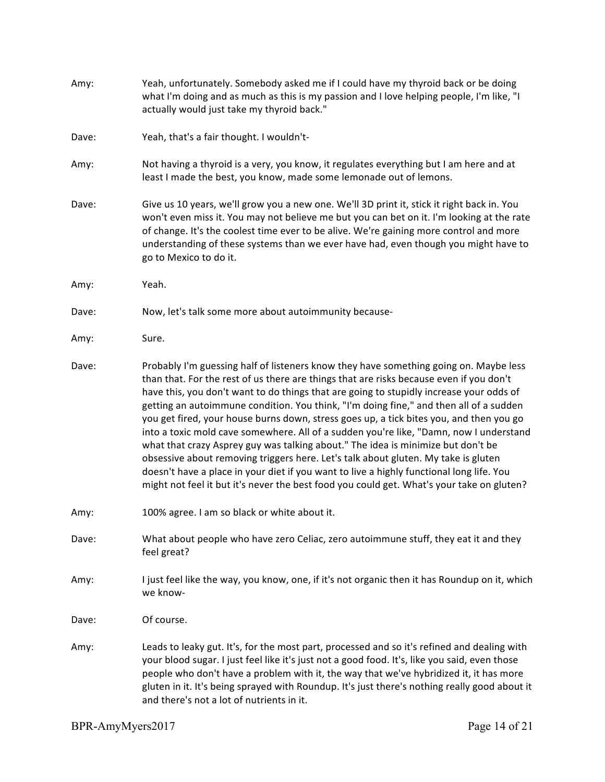| Amy:  | Yeah, unfortunately. Somebody asked me if I could have my thyroid back or be doing<br>what I'm doing and as much as this is my passion and I love helping people, I'm like, "I<br>actually would just take my thyroid back."                                                                                                                                                                                                                                                                                                                                                                                                                                                                                                                                                                                                                                                                                                  |
|-------|-------------------------------------------------------------------------------------------------------------------------------------------------------------------------------------------------------------------------------------------------------------------------------------------------------------------------------------------------------------------------------------------------------------------------------------------------------------------------------------------------------------------------------------------------------------------------------------------------------------------------------------------------------------------------------------------------------------------------------------------------------------------------------------------------------------------------------------------------------------------------------------------------------------------------------|
| Dave: | Yeah, that's a fair thought. I wouldn't-                                                                                                                                                                                                                                                                                                                                                                                                                                                                                                                                                                                                                                                                                                                                                                                                                                                                                      |
| Amy:  | Not having a thyroid is a very, you know, it regulates everything but I am here and at<br>least I made the best, you know, made some lemonade out of lemons.                                                                                                                                                                                                                                                                                                                                                                                                                                                                                                                                                                                                                                                                                                                                                                  |
| Dave: | Give us 10 years, we'll grow you a new one. We'll 3D print it, stick it right back in. You<br>won't even miss it. You may not believe me but you can bet on it. I'm looking at the rate<br>of change. It's the coolest time ever to be alive. We're gaining more control and more<br>understanding of these systems than we ever have had, even though you might have to<br>go to Mexico to do it.                                                                                                                                                                                                                                                                                                                                                                                                                                                                                                                            |
| Amy:  | Yeah.                                                                                                                                                                                                                                                                                                                                                                                                                                                                                                                                                                                                                                                                                                                                                                                                                                                                                                                         |
| Dave: | Now, let's talk some more about autoimmunity because-                                                                                                                                                                                                                                                                                                                                                                                                                                                                                                                                                                                                                                                                                                                                                                                                                                                                         |
| Amy:  | Sure.                                                                                                                                                                                                                                                                                                                                                                                                                                                                                                                                                                                                                                                                                                                                                                                                                                                                                                                         |
| Dave: | Probably I'm guessing half of listeners know they have something going on. Maybe less<br>than that. For the rest of us there are things that are risks because even if you don't<br>have this, you don't want to do things that are going to stupidly increase your odds of<br>getting an autoimmune condition. You think, "I'm doing fine," and then all of a sudden<br>you get fired, your house burns down, stress goes up, a tick bites you, and then you go<br>into a toxic mold cave somewhere. All of a sudden you're like, "Damn, now I understand<br>what that crazy Asprey guy was talking about." The idea is minimize but don't be<br>obsessive about removing triggers here. Let's talk about gluten. My take is gluten<br>doesn't have a place in your diet if you want to live a highly functional long life. You<br>might not feel it but it's never the best food you could get. What's your take on gluten? |
| Amy:  | 100% agree. I am so black or white about it.                                                                                                                                                                                                                                                                                                                                                                                                                                                                                                                                                                                                                                                                                                                                                                                                                                                                                  |
| Dave: | What about people who have zero Celiac, zero autoimmune stuff, they eat it and they<br>feel great?                                                                                                                                                                                                                                                                                                                                                                                                                                                                                                                                                                                                                                                                                                                                                                                                                            |
| Amy:  | I just feel like the way, you know, one, if it's not organic then it has Roundup on it, which<br>we know-                                                                                                                                                                                                                                                                                                                                                                                                                                                                                                                                                                                                                                                                                                                                                                                                                     |
| Dave: | Of course.                                                                                                                                                                                                                                                                                                                                                                                                                                                                                                                                                                                                                                                                                                                                                                                                                                                                                                                    |
| Amy:  | Leads to leaky gut. It's, for the most part, processed and so it's refined and dealing with<br>your blood sugar. I just feel like it's just not a good food. It's, like you said, even those<br>people who don't have a problem with it, the way that we've hybridized it, it has more<br>gluten in it. It's being sprayed with Roundup. It's just there's nothing really good about it<br>and there's not a lot of nutrients in it.                                                                                                                                                                                                                                                                                                                                                                                                                                                                                          |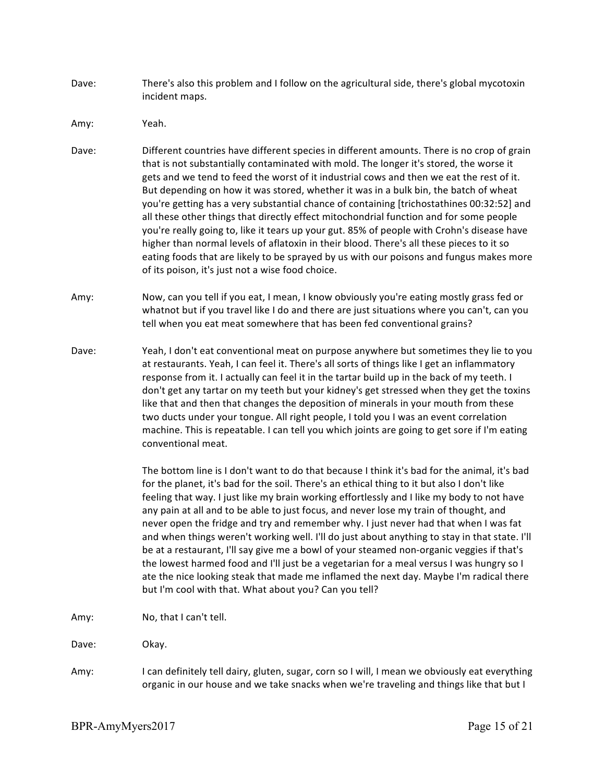- Dave: There's also this problem and I follow on the agricultural side, there's global mycotoxin incident maps.
- Amy: Yeah.
- Dave: Different countries have different species in different amounts. There is no crop of grain that is not substantially contaminated with mold. The longer it's stored, the worse it gets and we tend to feed the worst of it industrial cows and then we eat the rest of it. But depending on how it was stored, whether it was in a bulk bin, the batch of wheat you're getting has a very substantial chance of containing [trichostathines 00:32:52] and all these other things that directly effect mitochondrial function and for some people you're really going to, like it tears up your gut. 85% of people with Crohn's disease have higher than normal levels of aflatoxin in their blood. There's all these pieces to it so eating foods that are likely to be sprayed by us with our poisons and fungus makes more of its poison, it's just not a wise food choice.
- Amy: Now, can you tell if you eat, I mean, I know obviously you're eating mostly grass fed or whatnot but if you travel like I do and there are just situations where you can't, can you tell when you eat meat somewhere that has been fed conventional grains?
- Dave: Yeah, I don't eat conventional meat on purpose anywhere but sometimes they lie to you at restaurants. Yeah, I can feel it. There's all sorts of things like I get an inflammatory response from it. I actually can feel it in the tartar build up in the back of my teeth. I don't get any tartar on my teeth but your kidney's get stressed when they get the toxins like that and then that changes the deposition of minerals in your mouth from these two ducts under your tongue. All right people, I told you I was an event correlation machine. This is repeatable. I can tell you which joints are going to get sore if I'm eating conventional meat.

The bottom line is I don't want to do that because I think it's bad for the animal, it's bad for the planet, it's bad for the soil. There's an ethical thing to it but also I don't like feeling that way. I just like my brain working effortlessly and I like my body to not have any pain at all and to be able to just focus, and never lose my train of thought, and never open the fridge and try and remember why. I just never had that when I was fat and when things weren't working well. I'll do just about anything to stay in that state. I'll be at a restaurant, I'll say give me a bowl of your steamed non-organic veggies if that's the lowest harmed food and I'll just be a vegetarian for a meal versus I was hungry so I ate the nice looking steak that made me inflamed the next day. Maybe I'm radical there but I'm cool with that. What about you? Can you tell?

Amy: No, that I can't tell.

Dave: Okay.

Amy: I can definitely tell dairy, gluten, sugar, corn so I will, I mean we obviously eat everything organic in our house and we take snacks when we're traveling and things like that but I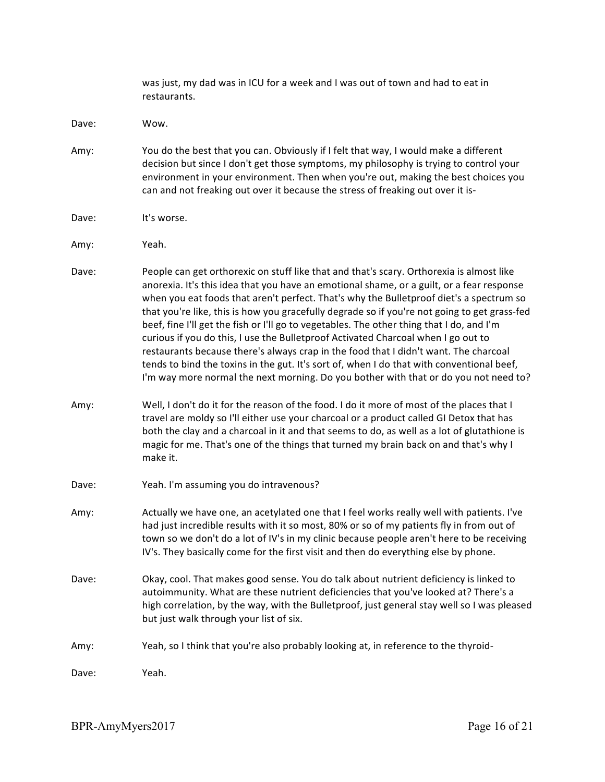|       | was just, my dad was in ICU for a week and I was out of town and had to eat in<br>restaurants.                                                                                                                                                                                                                                                                                                                                                                                                                                                                                                                                                                                                                                                                                                                                                  |
|-------|-------------------------------------------------------------------------------------------------------------------------------------------------------------------------------------------------------------------------------------------------------------------------------------------------------------------------------------------------------------------------------------------------------------------------------------------------------------------------------------------------------------------------------------------------------------------------------------------------------------------------------------------------------------------------------------------------------------------------------------------------------------------------------------------------------------------------------------------------|
| Dave: | Wow.                                                                                                                                                                                                                                                                                                                                                                                                                                                                                                                                                                                                                                                                                                                                                                                                                                            |
| Amy:  | You do the best that you can. Obviously if I felt that way, I would make a different<br>decision but since I don't get those symptoms, my philosophy is trying to control your<br>environment in your environment. Then when you're out, making the best choices you<br>can and not freaking out over it because the stress of freaking out over it is-                                                                                                                                                                                                                                                                                                                                                                                                                                                                                         |
| Dave: | It's worse.                                                                                                                                                                                                                                                                                                                                                                                                                                                                                                                                                                                                                                                                                                                                                                                                                                     |
| Amy:  | Yeah.                                                                                                                                                                                                                                                                                                                                                                                                                                                                                                                                                                                                                                                                                                                                                                                                                                           |
| Dave: | People can get orthorexic on stuff like that and that's scary. Orthorexia is almost like<br>anorexia. It's this idea that you have an emotional shame, or a guilt, or a fear response<br>when you eat foods that aren't perfect. That's why the Bulletproof diet's a spectrum so<br>that you're like, this is how you gracefully degrade so if you're not going to get grass-fed<br>beef, fine I'll get the fish or I'll go to vegetables. The other thing that I do, and I'm<br>curious if you do this, I use the Bulletproof Activated Charcoal when I go out to<br>restaurants because there's always crap in the food that I didn't want. The charcoal<br>tends to bind the toxins in the gut. It's sort of, when I do that with conventional beef,<br>I'm way more normal the next morning. Do you bother with that or do you not need to? |
| Amy:  | Well, I don't do it for the reason of the food. I do it more of most of the places that I<br>travel are moldy so I'll either use your charcoal or a product called GI Detox that has<br>both the clay and a charcoal in it and that seems to do, as well as a lot of glutathione is<br>magic for me. That's one of the things that turned my brain back on and that's why I<br>make it.                                                                                                                                                                                                                                                                                                                                                                                                                                                         |
| Dave: | Yeah. I'm assuming you do intravenous?                                                                                                                                                                                                                                                                                                                                                                                                                                                                                                                                                                                                                                                                                                                                                                                                          |
| Amy:  | Actually we have one, an acetylated one that I feel works really well with patients. I've<br>had just incredible results with it so most, 80% or so of my patients fly in from out of<br>town so we don't do a lot of IV's in my clinic because people aren't here to be receiving<br>IV's. They basically come for the first visit and then do everything else by phone.                                                                                                                                                                                                                                                                                                                                                                                                                                                                       |
| Dave: | Okay, cool. That makes good sense. You do talk about nutrient deficiency is linked to<br>autoimmunity. What are these nutrient deficiencies that you've looked at? There's a<br>high correlation, by the way, with the Bulletproof, just general stay well so I was pleased<br>but just walk through your list of six.                                                                                                                                                                                                                                                                                                                                                                                                                                                                                                                          |
| Amy:  | Yeah, so I think that you're also probably looking at, in reference to the thyroid-                                                                                                                                                                                                                                                                                                                                                                                                                                                                                                                                                                                                                                                                                                                                                             |
| Dave: | Yeah.                                                                                                                                                                                                                                                                                                                                                                                                                                                                                                                                                                                                                                                                                                                                                                                                                                           |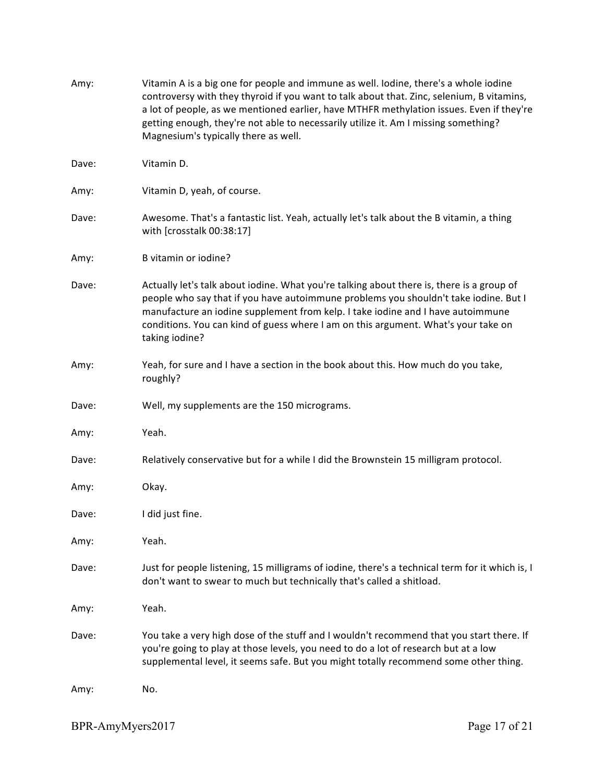| Amy:  | Vitamin A is a big one for people and immune as well. Iodine, there's a whole iodine<br>controversy with they thyroid if you want to talk about that. Zinc, selenium, B vitamins,<br>a lot of people, as we mentioned earlier, have MTHFR methylation issues. Even if they're<br>getting enough, they're not able to necessarily utilize it. Am I missing something?<br>Magnesium's typically there as well. |
|-------|--------------------------------------------------------------------------------------------------------------------------------------------------------------------------------------------------------------------------------------------------------------------------------------------------------------------------------------------------------------------------------------------------------------|
| Dave: | Vitamin D.                                                                                                                                                                                                                                                                                                                                                                                                   |
| Amy:  | Vitamin D, yeah, of course.                                                                                                                                                                                                                                                                                                                                                                                  |
| Dave: | Awesome. That's a fantastic list. Yeah, actually let's talk about the B vitamin, a thing<br>with [crosstalk 00:38:17]                                                                                                                                                                                                                                                                                        |
| Amy:  | B vitamin or iodine?                                                                                                                                                                                                                                                                                                                                                                                         |
| Dave: | Actually let's talk about iodine. What you're talking about there is, there is a group of<br>people who say that if you have autoimmune problems you shouldn't take iodine. But I<br>manufacture an iodine supplement from kelp. I take iodine and I have autoimmune<br>conditions. You can kind of guess where I am on this argument. What's your take on<br>taking iodine?                                 |
| Amy:  | Yeah, for sure and I have a section in the book about this. How much do you take,<br>roughly?                                                                                                                                                                                                                                                                                                                |
| Dave: | Well, my supplements are the 150 micrograms.                                                                                                                                                                                                                                                                                                                                                                 |
| Amy:  | Yeah.                                                                                                                                                                                                                                                                                                                                                                                                        |
| Dave: | Relatively conservative but for a while I did the Brownstein 15 milligram protocol.                                                                                                                                                                                                                                                                                                                          |
| Amy:  | Okay.                                                                                                                                                                                                                                                                                                                                                                                                        |
| Dave: | I did just fine.                                                                                                                                                                                                                                                                                                                                                                                             |
| Amy:  | Yeah.                                                                                                                                                                                                                                                                                                                                                                                                        |
| Dave: | Just for people listening, 15 milligrams of iodine, there's a technical term for it which is, I<br>don't want to swear to much but technically that's called a shitload.                                                                                                                                                                                                                                     |
| Amy:  | Yeah.                                                                                                                                                                                                                                                                                                                                                                                                        |
| Dave: | You take a very high dose of the stuff and I wouldn't recommend that you start there. If<br>you're going to play at those levels, you need to do a lot of research but at a low<br>supplemental level, it seems safe. But you might totally recommend some other thing.                                                                                                                                      |
| Amy:  | No.                                                                                                                                                                                                                                                                                                                                                                                                          |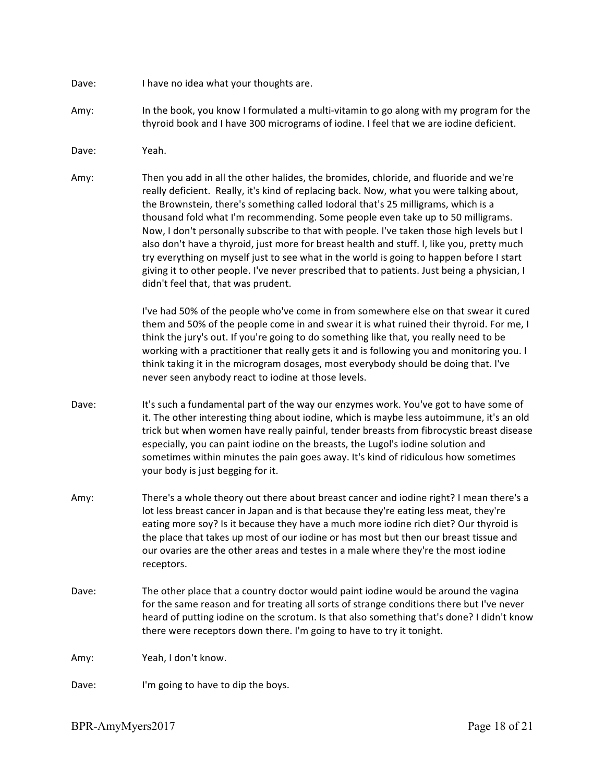- Dave: I have no idea what your thoughts are.
- Amy: In the book, you know I formulated a multi-vitamin to go along with my program for the thyroid book and I have 300 micrograms of iodine. I feel that we are iodine deficient.

Dave: Yeah.

Amy: Then you add in all the other halides, the bromides, chloride, and fluoride and we're really deficient. Really, it's kind of replacing back. Now, what you were talking about, the Brownstein, there's something called lodoral that's 25 milligrams, which is a thousand fold what I'm recommending. Some people even take up to 50 milligrams. Now, I don't personally subscribe to that with people. I've taken those high levels but I also don't have a thyroid, just more for breast health and stuff. I, like you, pretty much try everything on myself just to see what in the world is going to happen before I start giving it to other people. I've never prescribed that to patients. Just being a physician, I didn't feel that, that was prudent.

> I've had 50% of the people who've come in from somewhere else on that swear it cured them and 50% of the people come in and swear it is what ruined their thyroid. For me, I think the jury's out. If you're going to do something like that, you really need to be working with a practitioner that really gets it and is following you and monitoring you. I think taking it in the microgram dosages, most everybody should be doing that. I've never seen anybody react to iodine at those levels.

- Dave: It's such a fundamental part of the way our enzymes work. You've got to have some of it. The other interesting thing about iodine, which is maybe less autoimmune, it's an old trick but when women have really painful, tender breasts from fibrocystic breast disease especially, you can paint iodine on the breasts, the Lugol's iodine solution and sometimes within minutes the pain goes away. It's kind of ridiculous how sometimes your body is just begging for it.
- Amy: There's a whole theory out there about breast cancer and iodine right? I mean there's a lot less breast cancer in Japan and is that because they're eating less meat, they're eating more soy? Is it because they have a much more iodine rich diet? Our thyroid is the place that takes up most of our iodine or has most but then our breast tissue and our ovaries are the other areas and testes in a male where they're the most iodine receptors.
- Dave: The other place that a country doctor would paint iodine would be around the vagina for the same reason and for treating all sorts of strange conditions there but I've never heard of putting iodine on the scrotum. Is that also something that's done? I didn't know there were receptors down there. I'm going to have to try it tonight.

Amy: Yeah, I don't know.

Dave: I'm going to have to dip the boys.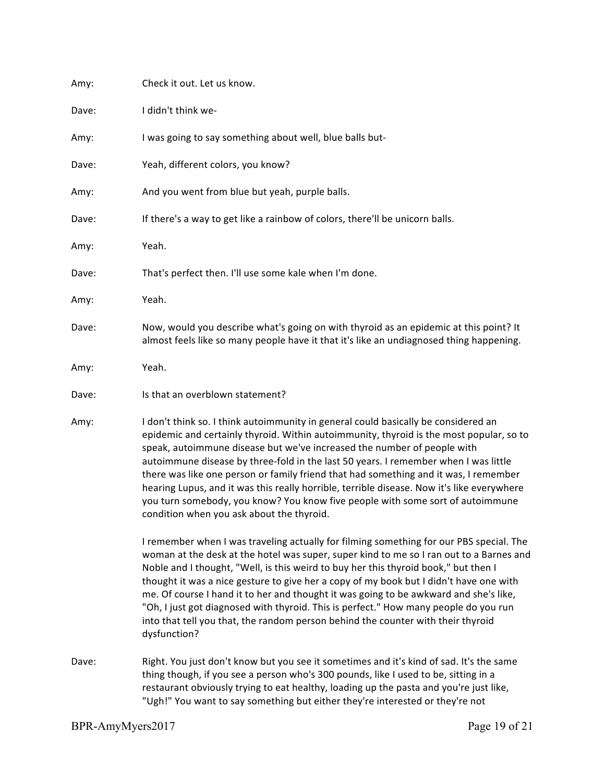| Amy:  | Check it out. Let us know.                                                                                                                                                                                                                                                                                                                                                                                                                                                                                                                                                                                                                                           |
|-------|----------------------------------------------------------------------------------------------------------------------------------------------------------------------------------------------------------------------------------------------------------------------------------------------------------------------------------------------------------------------------------------------------------------------------------------------------------------------------------------------------------------------------------------------------------------------------------------------------------------------------------------------------------------------|
| Dave: | I didn't think we-                                                                                                                                                                                                                                                                                                                                                                                                                                                                                                                                                                                                                                                   |
| Amy:  | I was going to say something about well, blue balls but-                                                                                                                                                                                                                                                                                                                                                                                                                                                                                                                                                                                                             |
| Dave: | Yeah, different colors, you know?                                                                                                                                                                                                                                                                                                                                                                                                                                                                                                                                                                                                                                    |
| Amy:  | And you went from blue but yeah, purple balls.                                                                                                                                                                                                                                                                                                                                                                                                                                                                                                                                                                                                                       |
| Dave: | If there's a way to get like a rainbow of colors, there'll be unicorn balls.                                                                                                                                                                                                                                                                                                                                                                                                                                                                                                                                                                                         |
| Amy:  | Yeah.                                                                                                                                                                                                                                                                                                                                                                                                                                                                                                                                                                                                                                                                |
| Dave: | That's perfect then. I'll use some kale when I'm done.                                                                                                                                                                                                                                                                                                                                                                                                                                                                                                                                                                                                               |
| Amy:  | Yeah.                                                                                                                                                                                                                                                                                                                                                                                                                                                                                                                                                                                                                                                                |
| Dave: | Now, would you describe what's going on with thyroid as an epidemic at this point? It<br>almost feels like so many people have it that it's like an undiagnosed thing happening.                                                                                                                                                                                                                                                                                                                                                                                                                                                                                     |
| Amy:  | Yeah.                                                                                                                                                                                                                                                                                                                                                                                                                                                                                                                                                                                                                                                                |
| Dave: | Is that an overblown statement?                                                                                                                                                                                                                                                                                                                                                                                                                                                                                                                                                                                                                                      |
| Amy:  | I don't think so. I think autoimmunity in general could basically be considered an<br>epidemic and certainly thyroid. Within autoimmunity, thyroid is the most popular, so to<br>speak, autoimmune disease but we've increased the number of people with<br>autoimmune disease by three-fold in the last 50 years. I remember when I was little<br>there was like one person or family friend that had something and it was, I remember<br>hearing Lupus, and it was this really horrible, terrible disease. Now it's like everywhere<br>you turn somebody, you know? You know five people with some sort of autoimmune<br>condition when you ask about the thyroid. |
|       | I remember when I was traveling actually for filming something for our PBS special. The<br>woman at the desk at the hotel was super, super kind to me so I ran out to a Barnes and<br>Noble and I thought, "Well, is this weird to buy her this thyroid book," but then I<br>thought it was a nice gesture to give her a copy of my book but I didn't have one with<br>me. Of course I hand it to her and thought it was going to be awkward and she's like,<br>"Oh, I just got diagnosed with thyroid. This is perfect." How many people do you run<br>into that tell you that, the random person behind the counter with their thyroid<br>dysfunction?             |
| Dave: | Right. You just don't know but you see it sometimes and it's kind of sad. It's the same<br>thing though, if you see a person who's 300 pounds, like I used to be, sitting in a<br>restaurant obviously trying to eat healthy, loading up the pasta and you're just like,<br>"Ugh!" You want to say something but either they're interested or they're not                                                                                                                                                                                                                                                                                                            |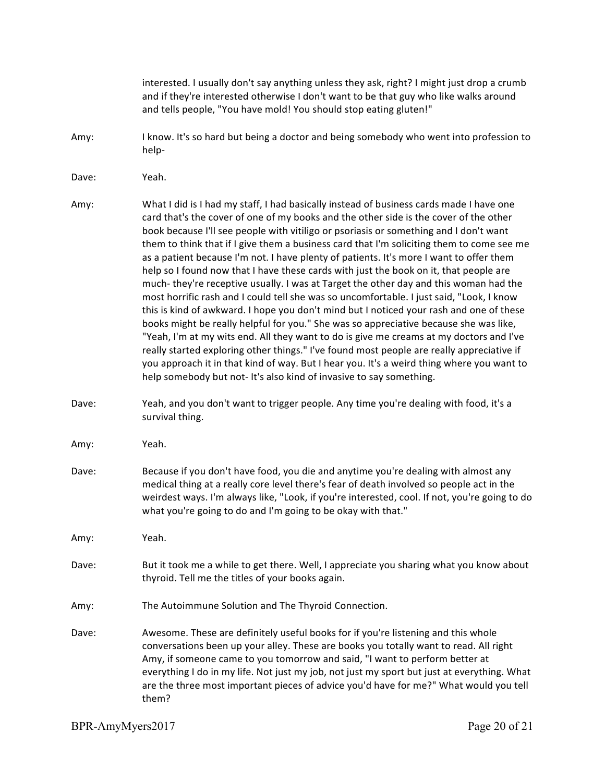interested. I usually don't say anything unless they ask, right? I might just drop a crumb and if they're interested otherwise I don't want to be that guy who like walks around and tells people, "You have mold! You should stop eating gluten!" Amy: I know. It's so hard but being a doctor and being somebody who went into profession to help-Dave: Yeah. Amy: What I did is I had my staff, I had basically instead of business cards made I have one card that's the cover of one of my books and the other side is the cover of the other book because I'll see people with vitiligo or psoriasis or something and I don't want them to think that if I give them a business card that I'm soliciting them to come see me as a patient because I'm not. I have plenty of patients. It's more I want to offer them help so I found now that I have these cards with just the book on it, that people are much- they're receptive usually. I was at Target the other day and this woman had the most horrific rash and I could tell she was so uncomfortable. I just said, "Look, I know this is kind of awkward. I hope you don't mind but I noticed your rash and one of these books might be really helpful for you." She was so appreciative because she was like, "Yeah, I'm at my wits end. All they want to do is give me creams at my doctors and I've really started exploring other things." I've found most people are really appreciative if you approach it in that kind of way. But I hear you. It's a weird thing where you want to help somebody but not- It's also kind of invasive to say something. Dave: Yeah, and you don't want to trigger people. Any time you're dealing with food, it's a survival thing. Amy: Yeah. Dave: Because if you don't have food, you die and anytime you're dealing with almost any medical thing at a really core level there's fear of death involved so people act in the weirdest ways. I'm always like, "Look, if you're interested, cool. If not, you're going to do what you're going to do and I'm going to be okay with that." Amy: Yeah. Dave: But it took me a while to get there. Well, I appreciate you sharing what you know about thyroid. Tell me the titles of your books again. Amy: The Autoimmune Solution and The Thyroid Connection. Dave: Awesome. These are definitely useful books for if you're listening and this whole conversations been up your alley. These are books you totally want to read. All right Amy, if someone came to you tomorrow and said, "I want to perform better at everything I do in my life. Not just my job, not just my sport but just at everything. What are the three most important pieces of advice you'd have for me?" What would you tell them?